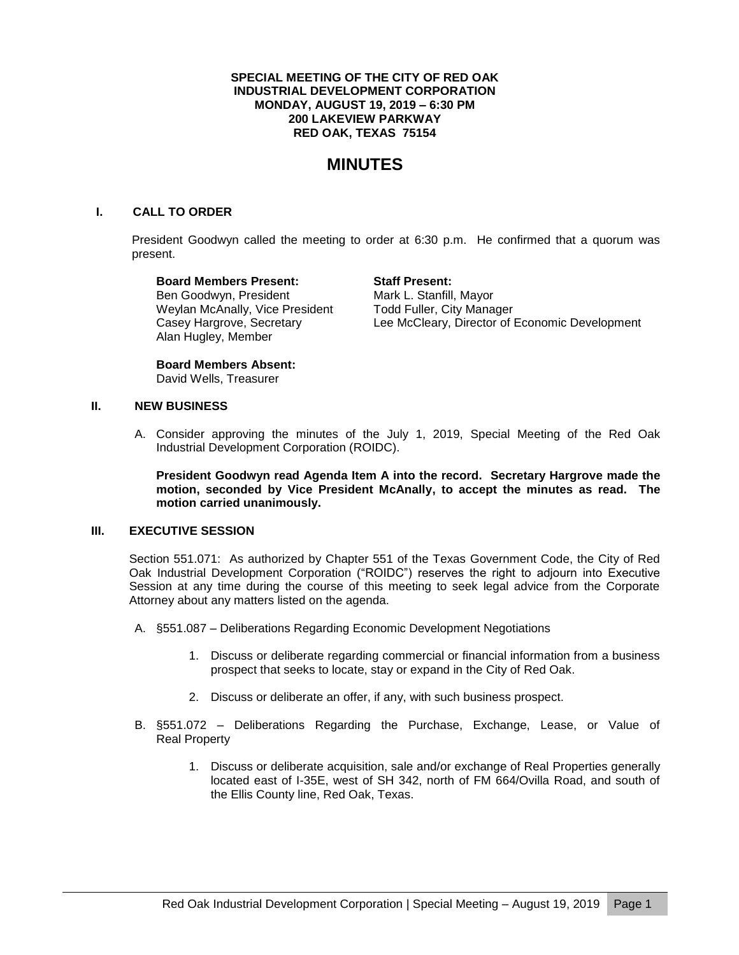## **SPECIAL MEETING OF THE CITY OF RED OAK INDUSTRIAL DEVELOPMENT CORPORATION MONDAY, AUGUST 19, 2019 – 6:30 PM 200 LAKEVIEW PARKWAY RED OAK, TEXAS 75154**

# **MINUTES**

# **I. CALL TO ORDER**

President Goodwyn called the meeting to order at 6:30 p.m. He confirmed that a quorum was present.

**Board Members Present: Staff Present:** Ben Goodwyn, President Mark L. Stanfill, Mayor Weylan McAnally, Vice President Todd Fuller, City Manager Alan Hugley, Member

Casey Hargrove, Secretary Lee McCleary, Director of Economic Development

**Board Members Absent:** David Wells, Treasurer

#### **II. NEW BUSINESS**

A. Consider approving the minutes of the July 1, 2019, Special Meeting of the Red Oak Industrial Development Corporation (ROIDC).

**President Goodwyn read Agenda Item A into the record. Secretary Hargrove made the motion, seconded by Vice President McAnally, to accept the minutes as read. The motion carried unanimously.**

# **III. EXECUTIVE SESSION**

Section 551.071: As authorized by Chapter 551 of the Texas Government Code, the City of Red Oak Industrial Development Corporation ("ROIDC") reserves the right to adjourn into Executive Session at any time during the course of this meeting to seek legal advice from the Corporate Attorney about any matters listed on the agenda.

- A. §551.087 Deliberations Regarding Economic Development Negotiations
	- 1. Discuss or deliberate regarding commercial or financial information from a business prospect that seeks to locate, stay or expand in the City of Red Oak.
	- 2. Discuss or deliberate an offer, if any, with such business prospect.
- B. §551.072 Deliberations Regarding the Purchase, Exchange, Lease, or Value of Real Property
	- 1. Discuss or deliberate acquisition, sale and/or exchange of Real Properties generally located east of I-35E, west of SH 342, north of FM 664/Ovilla Road, and south of the Ellis County line, Red Oak, Texas.